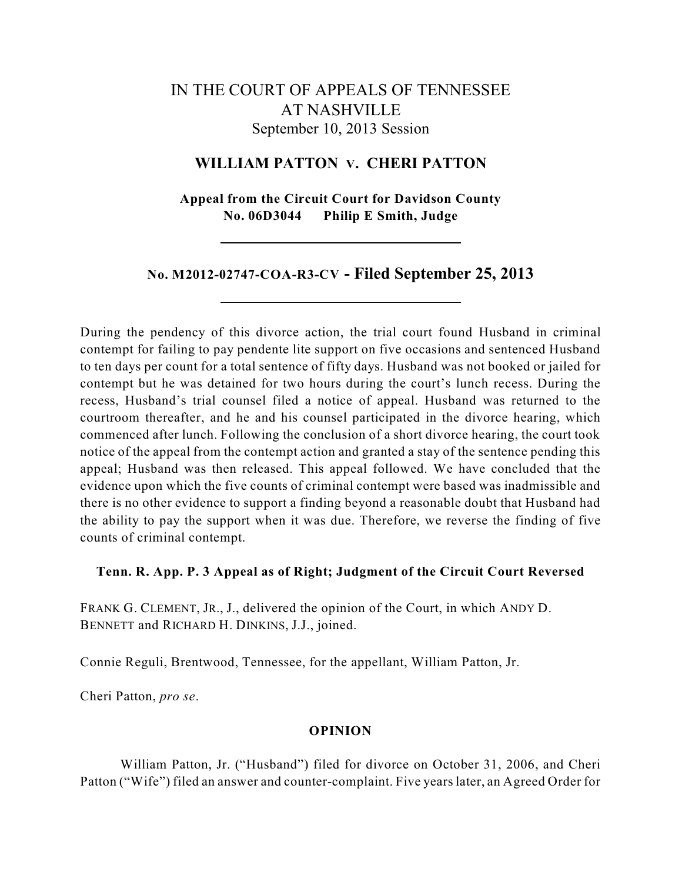# IN THE COURT OF APPEALS OF TENNESSEE AT NASHVILLE September 10, 2013 Session

# **WILLIAM PATTON V. CHERI PATTON**

**Appeal from the Circuit Court for Davidson County No. 06D3044 Philip E Smith, Judge**

**No. M2012-02747-COA-R3-CV - Filed September 25, 2013**

During the pendency of this divorce action, the trial court found Husband in criminal contempt for failing to pay pendente lite support on five occasions and sentenced Husband to ten days per count for a total sentence of fifty days. Husband was not booked or jailed for contempt but he was detained for two hours during the court's lunch recess. During the recess, Husband's trial counsel filed a notice of appeal. Husband was returned to the courtroom thereafter, and he and his counsel participated in the divorce hearing, which commenced after lunch. Following the conclusion of a short divorce hearing, the court took notice of the appeal from the contempt action and granted a stay of the sentence pending this appeal; Husband was then released. This appeal followed. We have concluded that the evidence upon which the five counts of criminal contempt were based was inadmissible and there is no other evidence to support a finding beyond a reasonable doubt that Husband had the ability to pay the support when it was due. Therefore, we reverse the finding of five counts of criminal contempt.

## **Tenn. R. App. P. 3 Appeal as of Right; Judgment of the Circuit Court Reversed**

FRANK G. CLEMENT, JR., J., delivered the opinion of the Court, in which ANDY D. BENNETT and RICHARD H. DINKINS, J.J., joined.

Connie Reguli, Brentwood, Tennessee, for the appellant, William Patton, Jr.

Cheri Patton, *pro se*.

### **OPINION**

William Patton, Jr. ("Husband") filed for divorce on October 31, 2006, and Cheri Patton ("Wife") filed an answer and counter-complaint. Five years later, an Agreed Order for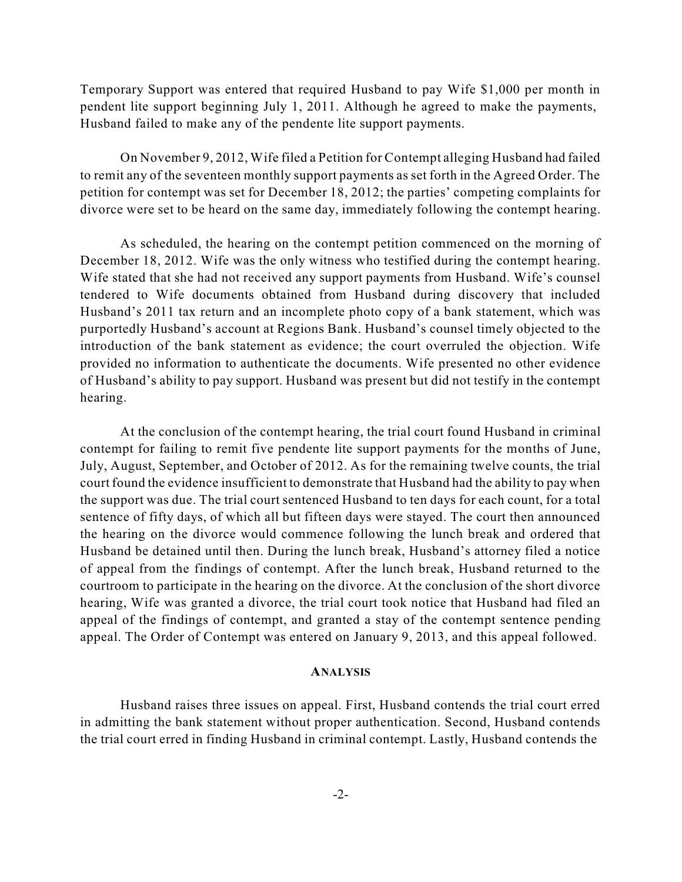Temporary Support was entered that required Husband to pay Wife \$1,000 per month in pendent lite support beginning July 1, 2011. Although he agreed to make the payments, Husband failed to make any of the pendente lite support payments.

On November 9, 2012, Wife filed a Petition for Contempt alleging Husband had failed to remit any of the seventeen monthly support payments as set forth in the Agreed Order. The petition for contempt was set for December 18, 2012; the parties' competing complaints for divorce were set to be heard on the same day, immediately following the contempt hearing.

As scheduled, the hearing on the contempt petition commenced on the morning of December 18, 2012. Wife was the only witness who testified during the contempt hearing. Wife stated that she had not received any support payments from Husband. Wife's counsel tendered to Wife documents obtained from Husband during discovery that included Husband's 2011 tax return and an incomplete photo copy of a bank statement, which was purportedly Husband's account at Regions Bank. Husband's counsel timely objected to the introduction of the bank statement as evidence; the court overruled the objection. Wife provided no information to authenticate the documents. Wife presented no other evidence of Husband's ability to pay support. Husband was present but did not testify in the contempt hearing.

At the conclusion of the contempt hearing, the trial court found Husband in criminal contempt for failing to remit five pendente lite support payments for the months of June, July, August, September, and October of 2012. As for the remaining twelve counts, the trial court found the evidence insufficient to demonstrate that Husband had the ability to pay when the support was due. The trial court sentenced Husband to ten days for each count, for a total sentence of fifty days, of which all but fifteen days were stayed. The court then announced the hearing on the divorce would commence following the lunch break and ordered that Husband be detained until then. During the lunch break, Husband's attorney filed a notice of appeal from the findings of contempt. After the lunch break, Husband returned to the courtroom to participate in the hearing on the divorce. At the conclusion of the short divorce hearing, Wife was granted a divorce, the trial court took notice that Husband had filed an appeal of the findings of contempt, and granted a stay of the contempt sentence pending appeal. The Order of Contempt was entered on January 9, 2013, and this appeal followed.

#### **ANALYSIS**

Husband raises three issues on appeal. First, Husband contends the trial court erred in admitting the bank statement without proper authentication. Second, Husband contends the trial court erred in finding Husband in criminal contempt. Lastly, Husband contends the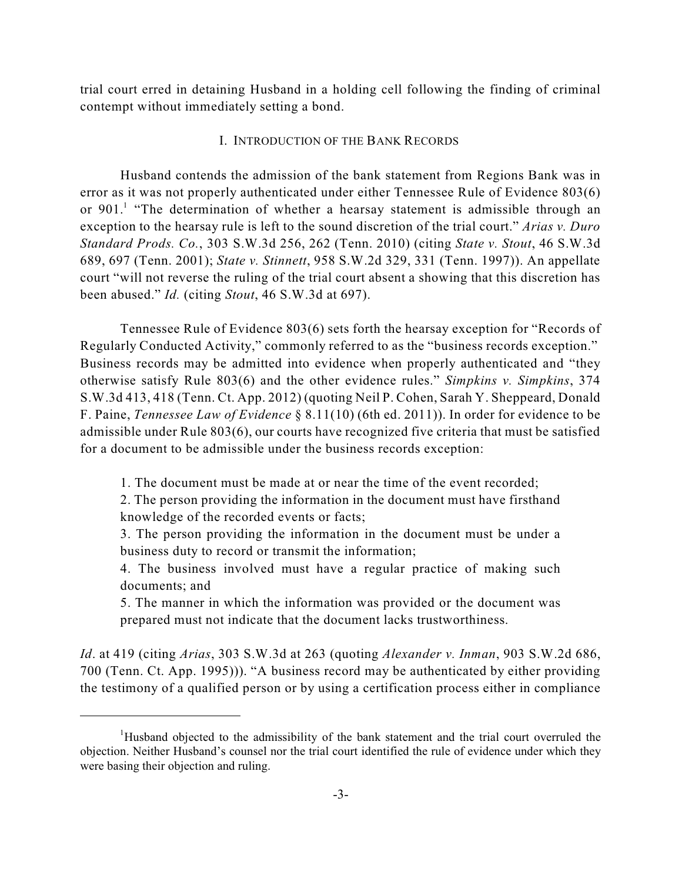trial court erred in detaining Husband in a holding cell following the finding of criminal contempt without immediately setting a bond.

# I. INTRODUCTION OF THE BANK RECORDS

Husband contends the admission of the bank statement from Regions Bank was in error as it was not properly authenticated under either Tennessee Rule of Evidence 803(6) or 901.<sup>1</sup> "The determination of whether a hearsay statement is admissible through an exception to the hearsay rule is left to the sound discretion of the trial court." *Arias v. Duro Standard Prods. Co.*, 303 S.W.3d 256, 262 (Tenn. 2010) (citing *State v. Stout*, 46 S.W.3d 689, 697 (Tenn. 2001); *State v. Stinnett*, 958 S.W.2d 329, 331 (Tenn. 1997)). An appellate court "will not reverse the ruling of the trial court absent a showing that this discretion has been abused." *Id.* (citing *Stout*, 46 S.W.3d at 697).

Tennessee Rule of Evidence 803(6) sets forth the hearsay exception for "Records of Regularly Conducted Activity," commonly referred to as the "business records exception." Business records may be admitted into evidence when properly authenticated and "they otherwise satisfy Rule 803(6) and the other evidence rules." *Simpkins v. Simpkins*, 374 S.W.3d 413, 418 (Tenn. Ct. App. 2012) (quoting Neil P. Cohen, Sarah Y. Sheppeard, Donald F. Paine, *Tennessee Law of Evidence* § 8.11(10) (6th ed. 2011)). In order for evidence to be admissible under Rule 803(6), our courts have recognized five criteria that must be satisfied for a document to be admissible under the business records exception:

1. The document must be made at or near the time of the event recorded;

2. The person providing the information in the document must have firsthand knowledge of the recorded events or facts;

3. The person providing the information in the document must be under a business duty to record or transmit the information;

4. The business involved must have a regular practice of making such documents; and

5. The manner in which the information was provided or the document was prepared must not indicate that the document lacks trustworthiness.

*Id*. at 419 (citing *Arias*, 303 S.W.3d at 263 (quoting *Alexander v. Inman*, 903 S.W.2d 686, 700 (Tenn. Ct. App. 1995))). "A business record may be authenticated by either providing the testimony of a qualified person or by using a certification process either in compliance

<sup>&</sup>lt;sup>1</sup>Husband objected to the admissibility of the bank statement and the trial court overruled the objection. Neither Husband's counsel nor the trial court identified the rule of evidence under which they were basing their objection and ruling.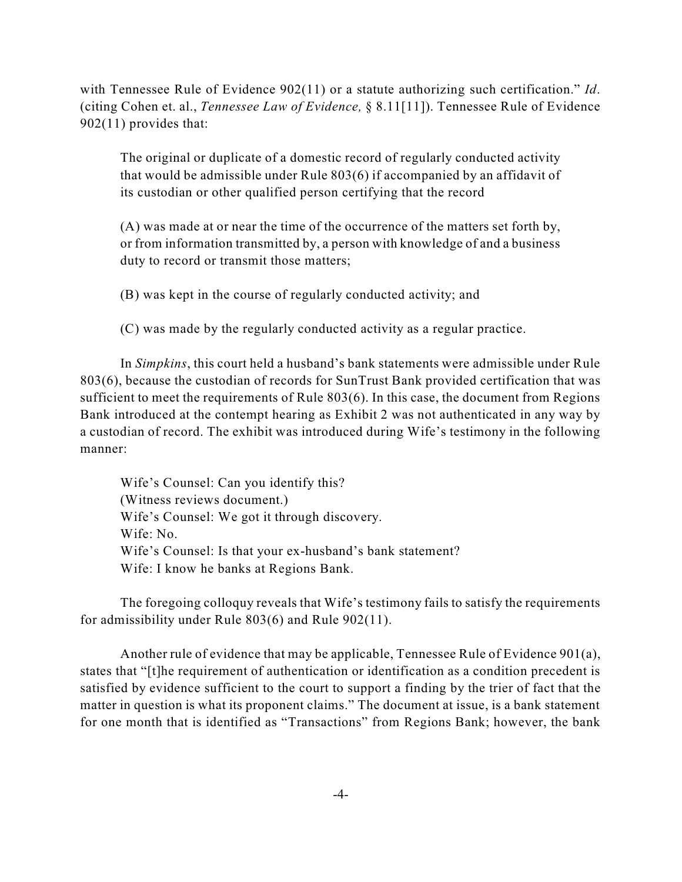with Tennessee Rule of Evidence 902(11) or a statute authorizing such certification." *Id*. (citing Cohen et. al., *Tennessee Law of Evidence,* § 8.11[11]). Tennessee Rule of Evidence 902(11) provides that:

The original or duplicate of a domestic record of regularly conducted activity that would be admissible under Rule 803(6) if accompanied by an affidavit of its custodian or other qualified person certifying that the record

(A) was made at or near the time of the occurrence of the matters set forth by, or from information transmitted by, a person with knowledge of and a business duty to record or transmit those matters;

(B) was kept in the course of regularly conducted activity; and

(C) was made by the regularly conducted activity as a regular practice.

In *Simpkins*, this court held a husband's bank statements were admissible under Rule 803(6), because the custodian of records for SunTrust Bank provided certification that was sufficient to meet the requirements of Rule 803(6). In this case, the document from Regions Bank introduced at the contempt hearing as Exhibit 2 was not authenticated in any way by a custodian of record. The exhibit was introduced during Wife's testimony in the following manner:

Wife's Counsel: Can you identify this? (Witness reviews document.) Wife's Counsel: We got it through discovery. Wife: No. Wife's Counsel: Is that your ex-husband's bank statement? Wife: I know he banks at Regions Bank.

The foregoing colloquy reveals that Wife's testimony fails to satisfy the requirements for admissibility under Rule 803(6) and Rule 902(11).

Another rule of evidence that may be applicable, Tennessee Rule of Evidence 901(a), states that "[t]he requirement of authentication or identification as a condition precedent is satisfied by evidence sufficient to the court to support a finding by the trier of fact that the matter in question is what its proponent claims." The document at issue, is a bank statement for one month that is identified as "Transactions" from Regions Bank; however, the bank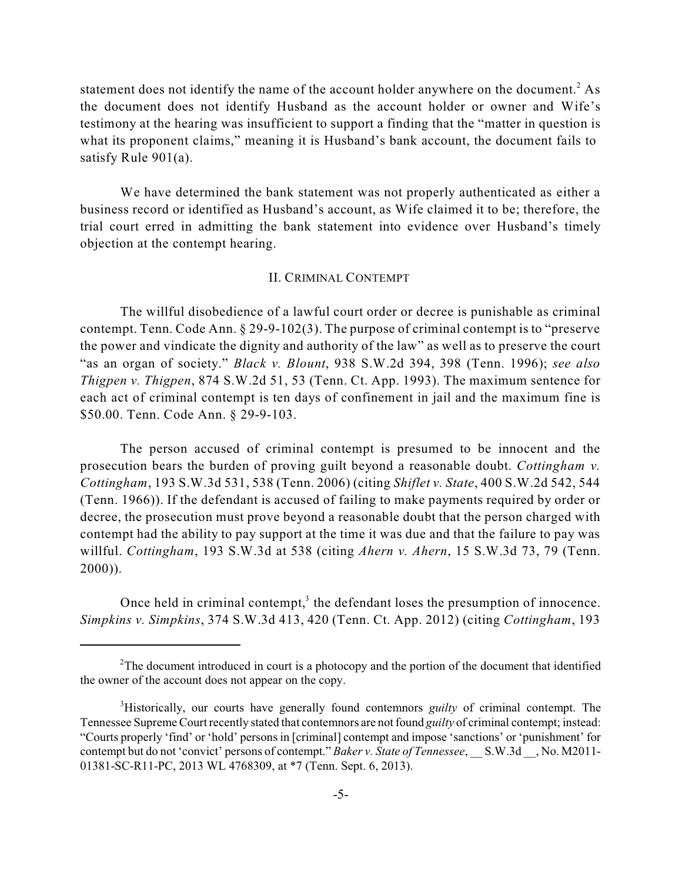statement does not identify the name of the account holder anywhere on the document.<sup>2</sup> As the document does not identify Husband as the account holder or owner and Wife's testimony at the hearing was insufficient to support a finding that the "matter in question is what its proponent claims," meaning it is Husband's bank account, the document fails to satisfy Rule 901(a).

We have determined the bank statement was not properly authenticated as either a business record or identified as Husband's account, as Wife claimed it to be; therefore, the trial court erred in admitting the bank statement into evidence over Husband's timely objection at the contempt hearing.

### II. CRIMINAL CONTEMPT

The willful disobedience of a lawful court order or decree is punishable as criminal contempt. Tenn. Code Ann. § 29-9-102(3). The purpose of criminal contempt is to "preserve the power and vindicate the dignity and authority of the law" as well as to preserve the court "as an organ of society." *Black v. Blount*, 938 S.W.2d 394, 398 (Tenn. 1996); *see also Thigpen v. Thigpen*, 874 S.W.2d 51, 53 (Tenn. Ct. App. 1993). The maximum sentence for each act of criminal contempt is ten days of confinement in jail and the maximum fine is \$50.00. Tenn. Code Ann. § 29-9-103.

The person accused of criminal contempt is presumed to be innocent and the prosecution bears the burden of proving guilt beyond a reasonable doubt. *Cottingham v. Cottingham*, 193 S.W.3d 531, 538 (Tenn. 2006) (citing *Shiflet v. State*, 400 S.W.2d 542, 544 (Tenn. 1966)). If the defendant is accused of failing to make payments required by order or decree, the prosecution must prove beyond a reasonable doubt that the person charged with contempt had the ability to pay support at the time it was due and that the failure to pay was willful. *Cottingham*, 193 S.W.3d at 538 (citing *Ahern v. Ahern*, 15 S.W.3d 73, 79 (Tenn. 2000)).

Once held in criminal contempt, $3$  the defendant loses the presumption of innocence. *Simpkins v. Simpkins*, 374 S.W.3d 413, 420 (Tenn. Ct. App. 2012) (citing *Cottingham*, 193

 $2$ The document introduced in court is a photocopy and the portion of the document that identified the owner of the account does not appear on the copy.

Historically, our courts have generally found contemnors *guilty* of criminal contempt. The <sup>3</sup> Tennessee Supreme Court recently stated that contemnors are notfound *guilty* of criminal contempt; instead: "Courts properly 'find' or 'hold' persons in [criminal] contempt and impose 'sanctions' or 'punishment' for contempt but do not 'convict' persons of contempt." *Baker v. State of Tennessee*, \_\_ S.W.3d \_\_, No. M2011- 01381-SC-R11-PC, 2013 WL 4768309, at \*7 (Tenn. Sept. 6, 2013).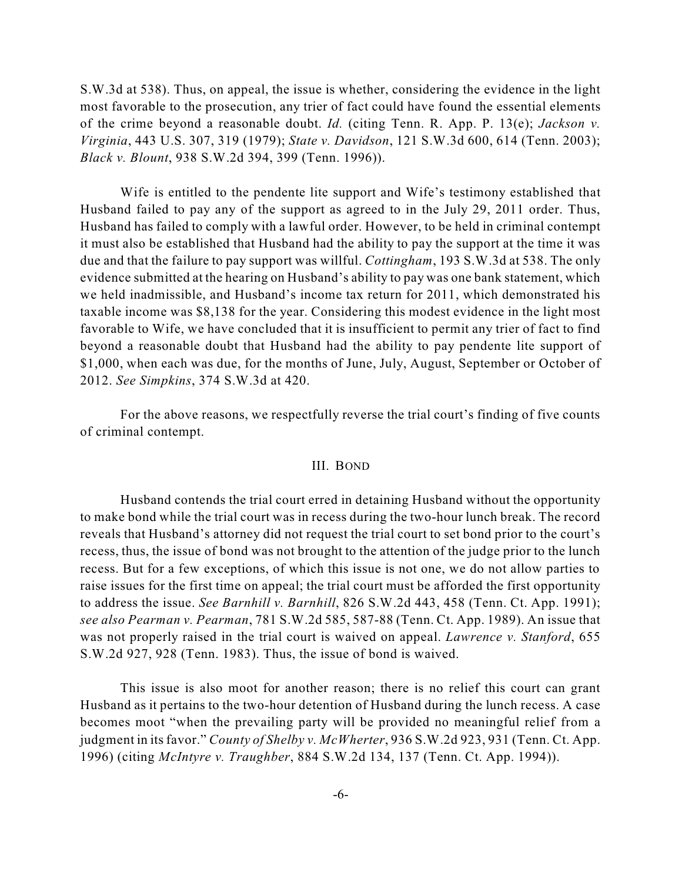S.W.3d at 538). Thus, on appeal, the issue is whether, considering the evidence in the light most favorable to the prosecution, any trier of fact could have found the essential elements of the crime beyond a reasonable doubt. *Id.* (citing Tenn. R. App. P. 13(e); *Jackson v. Virginia*, 443 U.S. 307, 319 (1979); *State v. Davidson*, 121 S.W.3d 600, 614 (Tenn. 2003); *Black v. Blount*, 938 S.W.2d 394, 399 (Tenn. 1996)).

Wife is entitled to the pendente lite support and Wife's testimony established that Husband failed to pay any of the support as agreed to in the July 29, 2011 order. Thus, Husband has failed to comply with a lawful order. However, to be held in criminal contempt it must also be established that Husband had the ability to pay the support at the time it was due and that the failure to pay support was willful. *Cottingham*, 193 S.W.3d at 538. The only evidence submitted at the hearing on Husband's ability to pay was one bank statement, which we held inadmissible, and Husband's income tax return for 2011, which demonstrated his taxable income was \$8,138 for the year. Considering this modest evidence in the light most favorable to Wife, we have concluded that it is insufficient to permit any trier of fact to find beyond a reasonable doubt that Husband had the ability to pay pendente lite support of \$1,000, when each was due, for the months of June, July, August, September or October of 2012. *See Simpkins*, 374 S.W.3d at 420.

For the above reasons, we respectfully reverse the trial court's finding of five counts of criminal contempt.

#### III. BOND

Husband contends the trial court erred in detaining Husband without the opportunity to make bond while the trial court was in recess during the two-hour lunch break. The record reveals that Husband's attorney did not request the trial court to set bond prior to the court's recess, thus, the issue of bond was not brought to the attention of the judge prior to the lunch recess. But for a few exceptions, of which this issue is not one, we do not allow parties to raise issues for the first time on appeal; the trial court must be afforded the first opportunity to address the issue. *See Barnhill v. Barnhill*, 826 S.W.2d 443, 458 (Tenn. Ct. App. 1991); *see also Pearman v. Pearman*, 781 S.W.2d 585, 587-88 (Tenn. Ct. App. 1989). An issue that was not properly raised in the trial court is waived on appeal. *Lawrence v. Stanford*, 655 S.W.2d 927, 928 (Tenn. 1983). Thus, the issue of bond is waived.

This issue is also moot for another reason; there is no relief this court can grant Husband as it pertains to the two-hour detention of Husband during the lunch recess. A case becomes moot "when the prevailing party will be provided no meaningful relief from a judgment in its favor." *County of Shelby v. McWherter*, 936 S.W.2d 923, 931 (Tenn. Ct. App. 1996) (citing *McIntyre v. Traughber*, 884 S.W.2d 134, 137 (Tenn. Ct. App. 1994)).